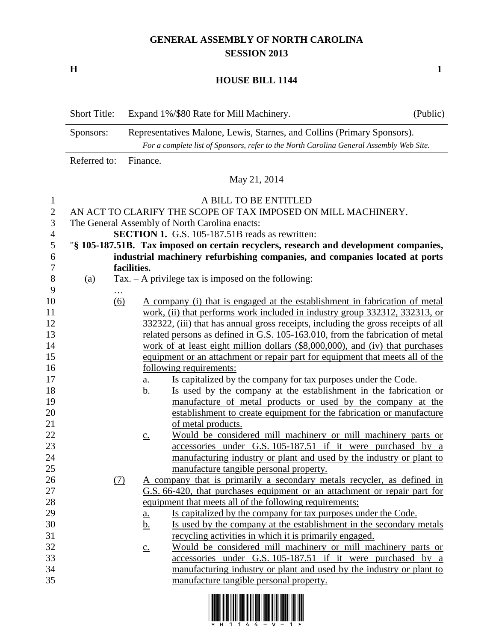## **GENERAL ASSEMBLY OF NORTH CAROLINA SESSION 2013**

**H 1**

## **HOUSE BILL 1144**

|                | <b>Short Title:</b>                                                               |                                                                                         | Expand 1%/\$80 Rate for Mill Machinery.                                                                                      | (Public) |  |  |
|----------------|-----------------------------------------------------------------------------------|-----------------------------------------------------------------------------------------|------------------------------------------------------------------------------------------------------------------------------|----------|--|--|
|                | Sponsors:                                                                         | Representatives Malone, Lewis, Starnes, and Collins (Primary Sponsors).                 |                                                                                                                              |          |  |  |
|                |                                                                                   | For a complete list of Sponsors, refer to the North Carolina General Assembly Web Site. |                                                                                                                              |          |  |  |
|                | Referred to:                                                                      | Finance.                                                                                |                                                                                                                              |          |  |  |
|                |                                                                                   |                                                                                         | May 21, 2014                                                                                                                 |          |  |  |
| $\mathbf{I}$   |                                                                                   |                                                                                         | A BILL TO BE ENTITLED                                                                                                        |          |  |  |
| $\overline{2}$ | AN ACT TO CLARIFY THE SCOPE OF TAX IMPOSED ON MILL MACHINERY.                     |                                                                                         |                                                                                                                              |          |  |  |
| 3              | The General Assembly of North Carolina enacts:                                    |                                                                                         |                                                                                                                              |          |  |  |
| 4              |                                                                                   |                                                                                         | <b>SECTION 1.</b> G.S. 105-187.51B reads as rewritten:                                                                       |          |  |  |
| 5              |                                                                                   |                                                                                         | "§ 105-187.51B. Tax imposed on certain recyclers, research and development companies,                                        |          |  |  |
| 6              |                                                                                   |                                                                                         | industrial machinery refurbishing companies, and companies located at ports                                                  |          |  |  |
| 7              |                                                                                   | facilities.                                                                             |                                                                                                                              |          |  |  |
| 8              | (a)                                                                               |                                                                                         | $Tax. - A$ privilege tax is imposed on the following:                                                                        |          |  |  |
| 9              | $\cdots$                                                                          |                                                                                         |                                                                                                                              |          |  |  |
| 10             | $\underline{(6)}$                                                                 |                                                                                         | A company (i) that is engaged at the establishment in fabrication of metal                                                   |          |  |  |
| 11             |                                                                                   | work, (ii) that performs work included in industry group 332312, 332313, or             |                                                                                                                              |          |  |  |
| 12             | 332322, (iii) that has annual gross receipts, including the gross receipts of all |                                                                                         |                                                                                                                              |          |  |  |
| 13             |                                                                                   | related persons as defined in G.S. 105-163.010, from the fabrication of metal           |                                                                                                                              |          |  |  |
| 14             |                                                                                   |                                                                                         | work of at least eight million dollars (\$8,000,000), and (iv) that purchases                                                |          |  |  |
| 15             |                                                                                   |                                                                                         | equipment or an attachment or repair part for equipment that meets all of the                                                |          |  |  |
| 16             |                                                                                   |                                                                                         | following requirements:                                                                                                      |          |  |  |
| 17             |                                                                                   | <u>a.</u>                                                                               | Is capitalized by the company for tax purposes under the Code.                                                               |          |  |  |
| 18             |                                                                                   | b.                                                                                      | Is used by the company at the establishment in the fabrication or                                                            |          |  |  |
| 19             |                                                                                   |                                                                                         | manufacture of metal products or used by the company at the                                                                  |          |  |  |
| 20             |                                                                                   |                                                                                         | establishment to create equipment for the fabrication or manufacture                                                         |          |  |  |
| 21             |                                                                                   |                                                                                         | of metal products.                                                                                                           |          |  |  |
| 22<br>23       |                                                                                   | $\underline{c}$ .                                                                       | Would be considered mill machinery or mill machinery parts or<br>accessories under G.S. 105-187.51 if it were purchased by a |          |  |  |
| 24             |                                                                                   |                                                                                         | manufacturing industry or plant and used by the industry or plant to                                                         |          |  |  |
| 25             |                                                                                   |                                                                                         | manufacture tangible personal property.                                                                                      |          |  |  |
| 26             | (7)                                                                               |                                                                                         | A company that is primarily a secondary metals recycler, as defined in                                                       |          |  |  |
| 27             |                                                                                   |                                                                                         | G.S. 66-420, that purchases equipment or an attachment or repair part for                                                    |          |  |  |
| 28             |                                                                                   |                                                                                         | equipment that meets all of the following requirements:                                                                      |          |  |  |
| 29             |                                                                                   | a.                                                                                      | Is capitalized by the company for tax purposes under the Code.                                                               |          |  |  |
| 30             |                                                                                   | <u>b.</u>                                                                               | Is used by the company at the establishment in the secondary metals                                                          |          |  |  |
| 31             |                                                                                   |                                                                                         | recycling activities in which it is primarily engaged.                                                                       |          |  |  |
| 32             |                                                                                   | $\underline{c}$ .                                                                       | Would be considered mill machinery or mill machinery parts or                                                                |          |  |  |
| 33             |                                                                                   |                                                                                         | accessories under G.S. 105-187.51 if it were purchased by a                                                                  |          |  |  |
| 34             |                                                                                   |                                                                                         | manufacturing industry or plant and used by the industry or plant to                                                         |          |  |  |
| 35             |                                                                                   |                                                                                         | manufacture tangible personal property.                                                                                      |          |  |  |